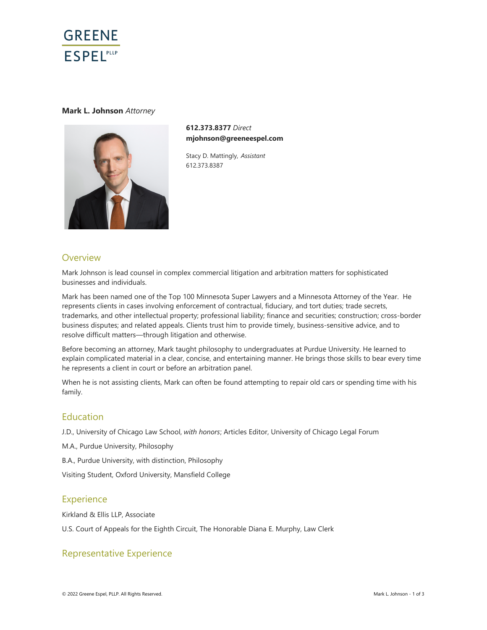

### **Mark L. Johnson** *Attorney*



**612.373.8377** *Direct* **mjohnson@greeneespel.com**

Stacy D. Mattingly, *Assistant* 612.373.8387

## **Overview**

Mark Johnson is lead counsel in complex commercial litigation and arbitration matters for sophisticated businesses and individuals.

Mark has been named one of the Top 100 Minnesota Super Lawyers and a Minnesota Attorney of the Year. He represents clients in cases involving enforcement of contractual, fiduciary, and tort duties; trade secrets, trademarks, and other intellectual property; professional liability; finance and securities; construction; cross-border business disputes; and related appeals. Clients trust him to provide timely, business-sensitive advice, and to resolve difficult matters—through litigation and otherwise.

Before becoming an attorney, Mark taught philosophy to undergraduates at Purdue University. He learned to explain complicated material in a clear, concise, and entertaining manner. He brings those skills to bear every time he represents a client in court or before an arbitration panel.

When he is not assisting clients, Mark can often be found attempting to repair old cars or spending time with his family.

## Education

J.D., University of Chicago Law School, *with honors*; Articles Editor, University of Chicago Legal Forum

M.A., Purdue University, Philosophy

B.A., Purdue University, with distinction, Philosophy

Visiting Student, Oxford University, Mansfield College

## **Experience**

Kirkland & Ellis LLP, Associate

U.S. Court of Appeals for the Eighth Circuit, The Honorable Diana E. Murphy, Law Clerk

## Representative Experience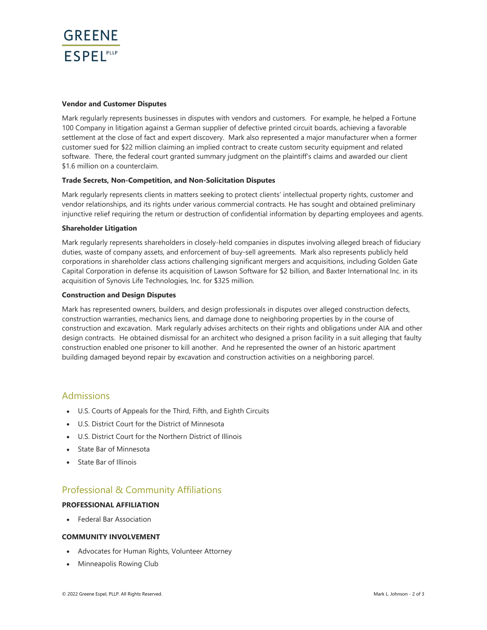

#### **Vendor and Customer Disputes**

Mark regularly represents businesses in disputes with vendors and customers. For example, he helped a Fortune 100 Company in litigation against a German supplier of defective printed circuit boards, achieving a favorable settlement at the close of fact and expert discovery. Mark also represented a major manufacturer when a former customer sued for \$22 million claiming an implied contract to create custom security equipment and related software. There, the federal court granted summary judgment on the plaintiff's claims and awarded our client \$1.6 million on a counterclaim.

#### **Trade Secrets, Non-Competition, and Non-Solicitation Disputes**

Mark regularly represents clients in matters seeking to protect clients' intellectual property rights, customer and vendor relationships, and its rights under various commercial contracts. He has sought and obtained preliminary injunctive relief requiring the return or destruction of confidential information by departing employees and agents.

#### **Shareholder Litigation**

Mark regularly represents shareholders in closely-held companies in disputes involving alleged breach of fiduciary duties, waste of company assets, and enforcement of buy-sell agreements. Mark also represents publicly held corporations in shareholder class actions challenging significant mergers and acquisitions, including Golden Gate Capital Corporation in defense its acquisition of Lawson Software for \$2 billion, and Baxter International Inc. in its acquisition of Synovis Life Technologies, Inc. for \$325 million.

#### **Construction and Design Disputes**

Mark has represented owners, builders, and design professionals in disputes over alleged construction defects, construction warranties, mechanics liens, and damage done to neighboring properties by in the course of construction and excavation. Mark regularly advises architects on their rights and obligations under AIA and other design contracts. He obtained dismissal for an architect who designed a prison facility in a suit alleging that faulty construction enabled one prisoner to kill another. And he represented the owner of an historic apartment building damaged beyond repair by excavation and construction activities on a neighboring parcel.

### Admissions

- U.S. Courts of Appeals for the Third, Fifth, and Eighth Circuits
- U.S. District Court for the District of Minnesota
- U.S. District Court for the Northern District of Illinois
- State Bar of Minnesota
- State Bar of Illinois

## Professional & Community Affiliations

### **PROFESSIONAL AFFILIATION**

• Federal Bar Association

#### **COMMUNITY INVOLVEMENT**

- Advocates for Human Rights, Volunteer Attorney
- Minneapolis Rowing Club